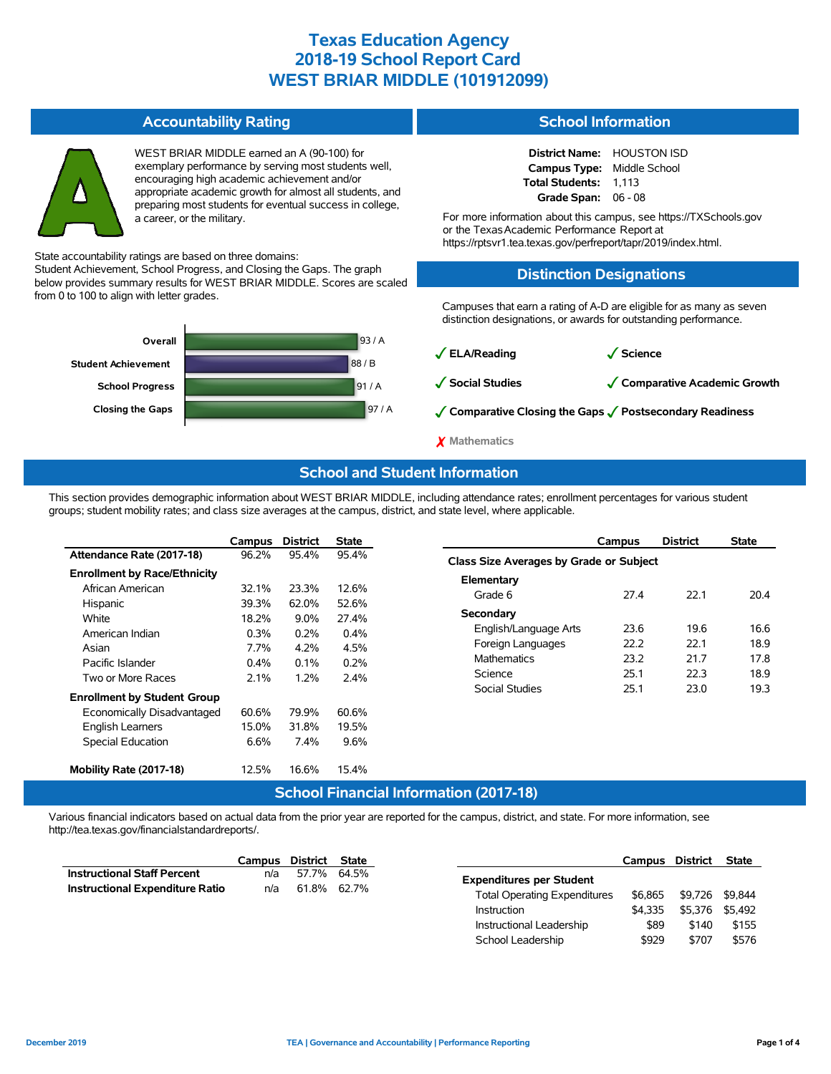#### **Accountability Rating**

WEST BRIAR MIDDLE earned an A (90-100) for exemplary performance by serving most students well, encouraging high academic achievement and/or appropriate academic growth for almost all students, and preparing most students for eventual success in college, a career, or the military.

State accountability ratings are based on three domains:

Student Achievement, School Progress, and Closing the Gaps. The graph below provides summary results for WEST BRIAR MIDDLE. Scores are scaled from 0 to 100 to align with letter grades.



#### **School Information**

| <b>District Name:</b> | <b>HOUSTON ISD</b> |
|-----------------------|--------------------|
| <b>Campus Type:</b>   | Middle School      |
| Total Students:       | 1.113              |
| Grade Span:           | $06 - 08$          |

For more information about this campus, see https://TXSchools.gov or the TexasAcademic Performance Report at https://rptsvr1.tea.texas.gov/perfreport/tapr/2019/index.html.

#### **Distinction Designations**

Campuses that earn a rating of A-D are eligible for as many as seven distinction designations, or awards for outstanding performance.

✓**ELA/Reading** ✓**Science**

✓**Social Studies** ✓**Comparative Academic Growth**

✓**Comparative Closing the Gaps** ✓**Postsecondary Readiness**

✗ **Mathematics**

### **School and Student Information**

This section provides demographic information about WEST BRIAR MIDDLE, including attendance rates; enrollment percentages for various student groups; student mobility rates; and class size averages at the campus, district, and state level, where applicable.

|                                     | Campus  | <b>District</b> | <b>State</b> |
|-------------------------------------|---------|-----------------|--------------|
| Attendance Rate (2017-18)           | 96.2%   | 95.4%           | 95.4%        |
| <b>Enrollment by Race/Ethnicity</b> |         |                 |              |
| African American                    | 32.1%   | 23.3%           | 12.6%        |
| Hispanic                            | 39.3%   | 62.0%           | 52.6%        |
| White                               | 18.2%   | $9.0\%$         | 27.4%        |
| American Indian                     | 0.3%    | 0.2%            | $0.4\%$      |
| Asian                               | 7.7%    | 4.2%            | 4.5%         |
| Pacific Islander                    | $0.4\%$ | $0.1\%$         | 0.2%         |
| Two or More Races                   | 2.1%    | $1.2\%$         | 2.4%         |
| <b>Enrollment by Student Group</b>  |         |                 |              |
| Economically Disadvantaged          | 60.6%   | 79.9%           | 60.6%        |
| English Learners                    | 15.0%   | 31.8%           | 19.5%        |
| <b>Special Education</b>            | 6.6%    | $7.4\%$         | 9.6%         |
|                                     |         |                 |              |
| Mobility Rate (2017-18)             | 12.5%   | 16.6%           | 15.4%        |
|                                     |         | ----            |              |

|                                         | Campus | <b>District</b> | <b>State</b> |  |  |  |  |  |  |
|-----------------------------------------|--------|-----------------|--------------|--|--|--|--|--|--|
| Class Size Averages by Grade or Subject |        |                 |              |  |  |  |  |  |  |
| Elementary                              |        |                 |              |  |  |  |  |  |  |
| Grade 6                                 | 27 4   | 22.1            | 204          |  |  |  |  |  |  |
| Secondary                               |        |                 |              |  |  |  |  |  |  |
| English/Language Arts                   | 23.6   | 196             | 16.6         |  |  |  |  |  |  |
| Foreign Languages                       | 22.2   | 22.1            | 18.9         |  |  |  |  |  |  |
| <b>Mathematics</b>                      | 23.2   | 21.7            | 178          |  |  |  |  |  |  |
| Science                                 | 251    | 22.3            | 18.9         |  |  |  |  |  |  |
| Social Studies                          | 251    | 23.0            | 19.3         |  |  |  |  |  |  |
|                                         |        |                 |              |  |  |  |  |  |  |

### **School Financial Information (2017-18)**

Various financial indicators based on actual data from the prior year are reported for the campus, district, and state. For more information, see http://tea.texas.gov/financialstandardreports/.

|                                        | Campus | District State |             |                                     | Campus  | District        | <b>State</b> |
|----------------------------------------|--------|----------------|-------------|-------------------------------------|---------|-----------------|--------------|
| <b>Instructional Staff Percent</b>     | n/a    |                | 57.7% 64.5% | <b>Expenditures per Student</b>     |         |                 |              |
| <b>Instructional Expenditure Ratio</b> | n/a    |                | 61.8% 62.7% | <b>Total Operating Expenditures</b> | \$6.865 | \$9.726 \$9.844 |              |
|                                        |        |                |             | <b>Instruction</b>                  | \$4.335 | \$5.376         | \$5.492      |
|                                        |        |                |             | Instructional Leadership            | \$89    | \$140           |              |
|                                        |        |                |             | School Leadership                   | \$929   | \$707           |              |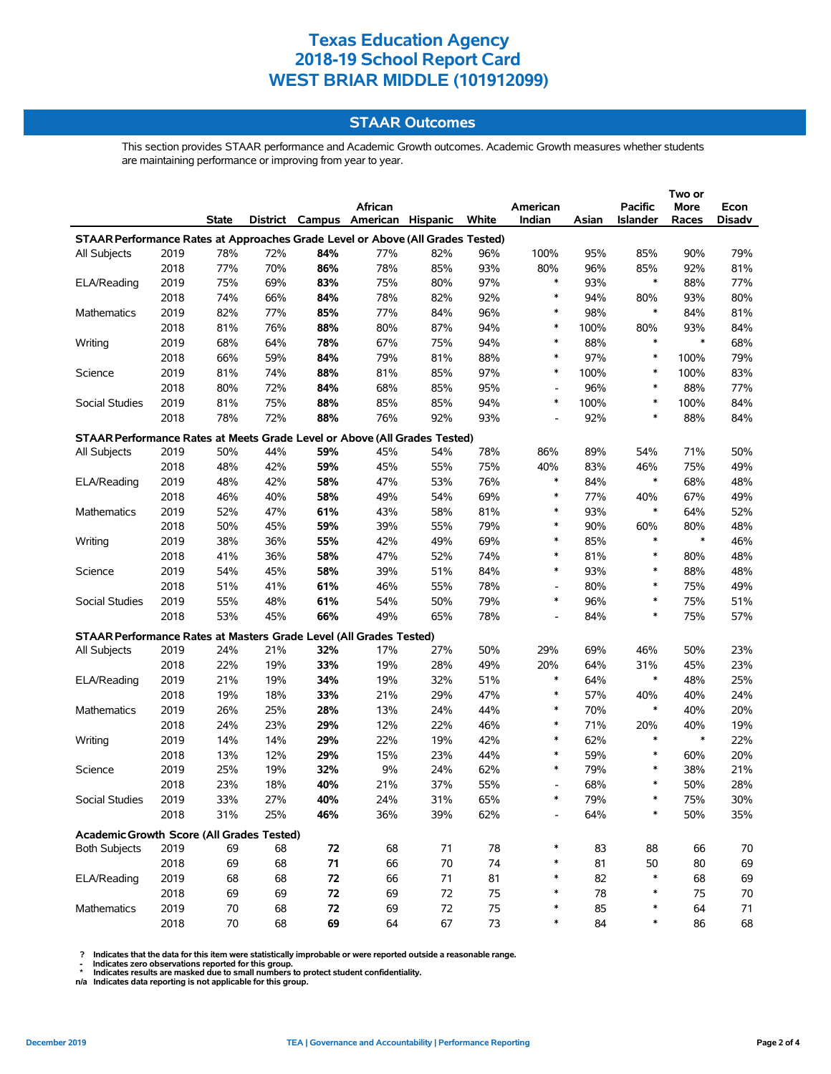### **STAAR Outcomes**

This section provides STAAR performance and Academic Growth outcomes. Academic Growth measures whether students are maintaining performance or improving from year to year.

|                                                                                |      |              |     |     |                                         |     |     |                          |       |                 | Two or        |        |
|--------------------------------------------------------------------------------|------|--------------|-----|-----|-----------------------------------------|-----|-----|--------------------------|-------|-----------------|---------------|--------|
|                                                                                |      |              |     |     | African                                 |     |     | American                 |       | Pacific         | <b>More</b>   | Econ   |
|                                                                                |      | <b>State</b> |     |     | District Campus American Hispanic White |     |     | Indian                   | Asian | <b>Islander</b> | Races         | Disadv |
| STAAR Performance Rates at Approaches Grade Level or Above (All Grades Tested) |      |              |     |     |                                         |     |     |                          |       |                 |               |        |
| All Subjects                                                                   | 2019 | 78%          | 72% | 84% | 77%                                     | 82% | 96% | 100%                     | 95%   | 85%             | 90%           | 79%    |
|                                                                                | 2018 | 77%          | 70% | 86% | 78%                                     | 85% | 93% | 80%                      | 96%   | 85%             | 92%           | 81%    |
| ELA/Reading                                                                    | 2019 | 75%          | 69% | 83% | 75%                                     | 80% | 97% | $\ast$                   | 93%   | $\ast$          | 88%           | 77%    |
|                                                                                | 2018 | 74%          | 66% | 84% | 78%                                     | 82% | 92% | $\ast$                   | 94%   | 80%             | 93%           | 80%    |
| Mathematics                                                                    | 2019 | 82%          | 77% | 85% | 77%                                     | 84% | 96% | $\ast$                   | 98%   | $\ast$          | 84%           | 81%    |
|                                                                                | 2018 | 81%          | 76% | 88% | 80%                                     | 87% | 94% | $\ast$                   | 100%  | 80%             | 93%           | 84%    |
| Writing                                                                        | 2019 | 68%          | 64% | 78% | 67%                                     | 75% | 94% | $\ast$                   | 88%   | $\ast$          | $\ast$        | 68%    |
|                                                                                | 2018 | 66%          | 59% | 84% | 79%                                     | 81% | 88% | $\ast$                   | 97%   | $\ast$          | 100%          | 79%    |
| Science                                                                        | 2019 | 81%          | 74% | 88% | 81%                                     | 85% | 97% | $\ast$                   | 100%  | *               | 100%          | 83%    |
|                                                                                | 2018 | 80%          | 72% | 84% | 68%                                     | 85% | 95% | $\overline{\phantom{a}}$ | 96%   | $\ast$          | 88%           | 77%    |
| Social Studies                                                                 | 2019 | 81%          | 75% | 88% | 85%                                     | 85% | 94% | $\ast$                   | 100%  | *               | 100%          | 84%    |
|                                                                                | 2018 | 78%          | 72% | 88% | 76%                                     | 92% | 93% |                          | 92%   | *               | 88%           | 84%    |
|                                                                                |      |              |     |     |                                         |     |     |                          |       |                 |               |        |
| STAAR Performance Rates at Meets Grade Level or Above (All Grades Tested)      |      |              |     |     |                                         |     |     |                          |       |                 |               |        |
| All Subjects                                                                   | 2019 | 50%          | 44% | 59% | 45%                                     | 54% | 78% | 86%                      | 89%   | 54%             | 71%           | 50%    |
|                                                                                | 2018 | 48%          | 42% | 59% | 45%                                     | 55% | 75% | 40%                      | 83%   | 46%             | 75%           | 49%    |
| <b>ELA/Reading</b>                                                             | 2019 | 48%          | 42% | 58% | 47%                                     | 53% | 76% | $\ast$                   | 84%   | $\ast$          | 68%           | 48%    |
|                                                                                | 2018 | 46%          | 40% | 58% | 49%                                     | 54% | 69% | $\ast$                   | 77%   | 40%             | 67%           | 49%    |
| Mathematics                                                                    | 2019 | 52%          | 47% | 61% | 43%                                     | 58% | 81% | $\ast$                   | 93%   | $\ast$          | 64%           | 52%    |
|                                                                                | 2018 | 50%          | 45% | 59% | 39%                                     | 55% | 79% | $\ast$                   | 90%   | 60%             | 80%           | 48%    |
| Writing                                                                        | 2019 | 38%          | 36% | 55% | 42%                                     | 49% | 69% | $\ast$                   | 85%   | $\ast$          | $\ast$        | 46%    |
|                                                                                | 2018 | 41%          | 36% | 58% | 47%                                     | 52% | 74% | ∗                        | 81%   | *               | 80%           | 48%    |
| Science                                                                        | 2019 | 54%          | 45% | 58% | 39%                                     | 51% | 84% | $\ast$                   | 93%   | $\ast$          | 88%           | 48%    |
|                                                                                | 2018 | 51%          | 41% | 61% | 46%                                     | 55% | 78% |                          | 80%   | *               | 75%           | 49%    |
| Social Studies                                                                 | 2019 | 55%          | 48% | 61% | 54%                                     | 50% | 79% | $\ast$                   | 96%   | $\ast$          | 75%           | 51%    |
|                                                                                | 2018 | 53%          | 45% | 66% | 49%                                     | 65% | 78% | $\blacksquare$           | 84%   | $\ast$          | 75%           | 57%    |
| STAAR Performance Rates at Masters Grade Level (All Grades Tested)             |      |              |     |     |                                         |     |     |                          |       |                 |               |        |
| All Subjects                                                                   | 2019 | 24%          | 21% | 32% | 17%                                     | 27% | 50% | 29%                      | 69%   | 46%             | 50%           | 23%    |
|                                                                                | 2018 | 22%          | 19% | 33% | 19%                                     | 28% | 49% | 20%                      | 64%   | 31%             | 45%           | 23%    |
| ELA/Reading                                                                    | 2019 | 21%          | 19% | 34% | 19%                                     | 32% | 51% | $\ast$                   | 64%   | $\ast$          | 48%           | 25%    |
|                                                                                | 2018 | 19%          | 18% | 33% | 21%                                     | 29% | 47% | $\ast$                   | 57%   | 40%             | 40%           | 24%    |
| Mathematics                                                                    | 2019 | 26%          |     | 28% | 13%                                     | 24% | 44% | $\ast$                   | 70%   | $\ast$          | 40%           | 20%    |
|                                                                                |      |              | 25% |     |                                         |     |     | $\ast$                   |       |                 |               |        |
|                                                                                | 2018 | 24%          | 23% | 29% | 12%                                     | 22% | 46% | $\ast$                   | 71%   | 20%<br>$\ast$   | 40%<br>$\ast$ | 19%    |
| Writing                                                                        | 2019 | 14%          | 14% | 29% | 22%                                     | 19% | 42% | $\ast$                   | 62%   | *               |               | 22%    |
|                                                                                | 2018 | 13%          | 12% | 29% | 15%                                     | 23% | 44% | $\ast$                   | 59%   |                 | 60%           | 20%    |
| Science                                                                        | 2019 | 25%          | 19% | 32% | 9%                                      | 24% | 62% |                          | 79%   | *<br>$\ast$     | 38%           | 21%    |
|                                                                                | 2018 | 23%          | 18% | 40% | 21%                                     | 37% | 55% |                          | 68%   |                 | 50%           | 28%    |
| Social Studies                                                                 | 2019 | 33%          | 27% | 40% | 24%                                     | 31% | 65% |                          | 79%   |                 | 75%           | 30%    |
|                                                                                | 2018 | 31%          | 25% | 46% | 36%                                     | 39% | 62% |                          | 64%   | *               | 50%           | 35%    |
| Academic Growth Score (All Grades Tested)                                      |      |              |     |     |                                         |     |     |                          |       |                 |               |        |
| <b>Both Subjects</b>                                                           | 2019 | 69           | 68  | 72  | 68                                      | 71  | 78  | *                        | 83    | 88              | 66            | 70     |
|                                                                                | 2018 | 69           | 68  | 71  | 66                                      | 70  | 74  | $\ast$                   | 81    | 50              | 80            | 69     |
| ELA/Reading                                                                    | 2019 | 68           | 68  | 72  | 66                                      | 71  | 81  | ∗                        | 82    | *               | 68            | 69     |
|                                                                                | 2018 | 69           | 69  | 72  | 69                                      | 72  | 75  | ∗                        | 78    | $\ast$          | 75            | $70\,$ |
| Mathematics                                                                    | 2019 | 70           | 68  | 72  | 69                                      | 72  | 75  | ∗                        | 85    | *               | 64            | 71     |
|                                                                                | 2018 | 70           | 68  | 69  | 64                                      | 67  | 73  | ∗                        | 84    | *               | 86            | 68     |

? Indicates that the data for this item were statistically improbable or were reported outside a reasonable range.<br>- Indicates zero observations reported for this group.<br>\* Indicates results are masked due to small numbers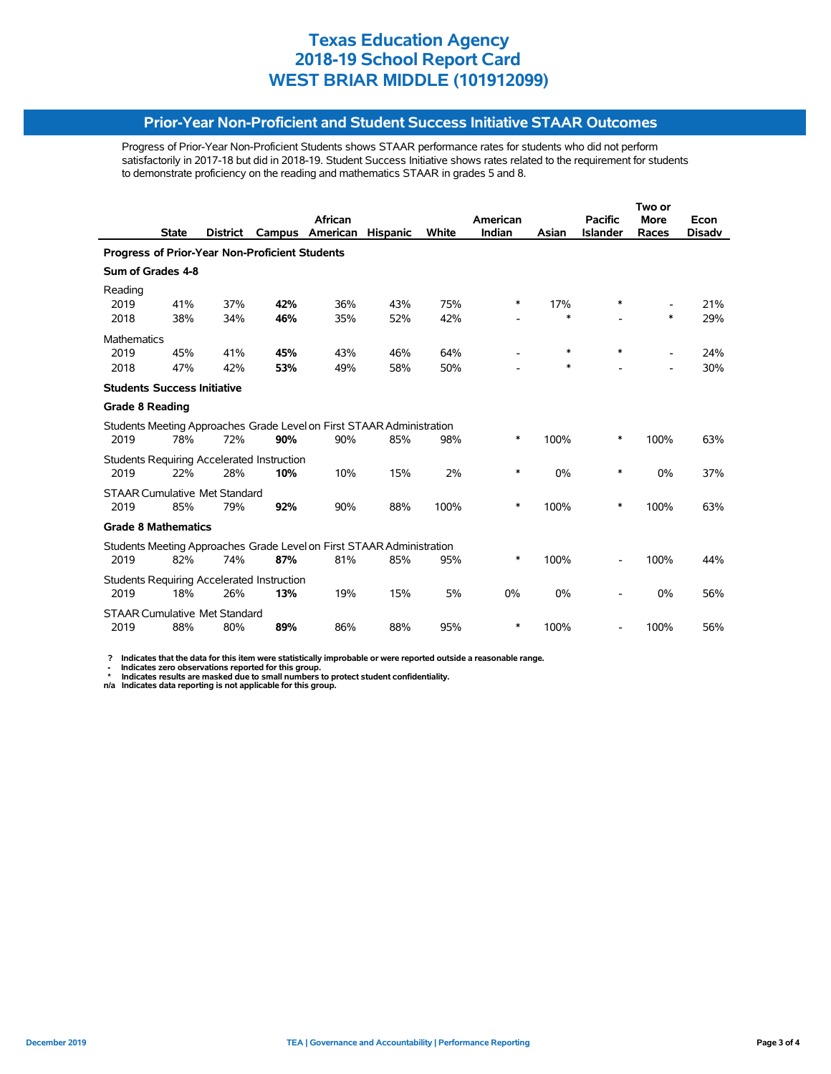#### **Prior-Year Non-Proficient and Student Success Initiative STAAR Outcomes**

Progress of Prior-Year Non-Proficient Students shows STAAR performance rates for students who did not perform satisfactorily in 2017-18 but did in 2018-19. Student Success Initiative shows rates related to the requirement for students to demonstrate proficiency on the reading and mathematics STAAR in grades 5 and 8.

|                                                       |              |                 |                                                   | African                                                               |                 |       | American |        | <b>Pacific</b>  | <b>More</b>              | Econ          |
|-------------------------------------------------------|--------------|-----------------|---------------------------------------------------|-----------------------------------------------------------------------|-----------------|-------|----------|--------|-----------------|--------------------------|---------------|
|                                                       | <b>State</b> | <b>District</b> | Campus                                            | American                                                              | <b>Hispanic</b> | White | Indian   | Asian  | <b>Islander</b> | Races                    | <b>Disadv</b> |
| <b>Progress of Prior-Year Non-Proficient Students</b> |              |                 |                                                   |                                                                       |                 |       |          |        |                 |                          |               |
| Sum of Grades 4-8                                     |              |                 |                                                   |                                                                       |                 |       |          |        |                 |                          |               |
| Reading                                               |              |                 |                                                   |                                                                       |                 |       |          |        |                 |                          |               |
| 2019                                                  | 41%          | 37%             | 42%                                               | 36%                                                                   | 43%             | 75%   | *        | 17%    | *               |                          | 21%           |
| 2018                                                  | 38%          | 34%             | 46%                                               | 35%                                                                   | 52%             | 42%   |          | $\ast$ |                 | $\ast$                   | 29%           |
| <b>Mathematics</b>                                    |              |                 |                                                   |                                                                       |                 |       |          |        |                 |                          |               |
| 2019                                                  | 45%          | 41%             | 45%                                               | 43%                                                                   | 46%             | 64%   |          | $\ast$ | $\ast$          |                          | 24%           |
| 2018                                                  | 47%          | 42%             | 53%                                               | 49%                                                                   | 58%             | 50%   |          | $\ast$ |                 | $\overline{\phantom{0}}$ | 30%           |
| <b>Students Success Initiative</b>                    |              |                 |                                                   |                                                                       |                 |       |          |        |                 |                          |               |
| <b>Grade 8 Reading</b>                                |              |                 |                                                   |                                                                       |                 |       |          |        |                 |                          |               |
|                                                       |              |                 |                                                   | Students Meeting Approaches Grade Level on First STAAR Administration |                 |       |          |        |                 |                          |               |
| 2019                                                  | 78%          | 72%             | 90%                                               | 90%                                                                   | 85%             | 98%   | *        | 100%   | *               | 100%                     | 63%           |
|                                                       |              |                 | <b>Students Requiring Accelerated Instruction</b> |                                                                       |                 |       |          |        |                 |                          |               |
| 2019                                                  | 22%          | 28%             | 10%                                               | 10%                                                                   | 15%             | 2%    | *        | 0%     | *               | 0%                       | 37%           |
| <b>STAAR Cumulative Met Standard</b>                  |              |                 |                                                   |                                                                       |                 |       |          |        |                 |                          |               |
| 2019                                                  | 85%          | 79%             | 92%                                               | 90%                                                                   | 88%             | 100%  | *        | 100%   | *               | 100%                     | 63%           |
|                                                       |              |                 |                                                   |                                                                       |                 |       |          |        |                 |                          |               |
| <b>Grade 8 Mathematics</b>                            |              |                 |                                                   |                                                                       |                 |       |          |        |                 |                          |               |
|                                                       |              |                 |                                                   | Students Meeting Approaches Grade Level on First STAAR Administration |                 |       |          |        |                 |                          |               |
| 2019                                                  | 82%          | 74%             | 87%                                               | 81%                                                                   | 85%             | 95%   | *        | 100%   |                 | 100%                     | 44%           |
|                                                       |              |                 | Students Requiring Accelerated Instruction        |                                                                       |                 |       |          |        |                 |                          |               |
| 2019                                                  | 18%          | 26%             | 13%                                               | 19%                                                                   | 15%             | 5%    | 0%       | 0%     |                 | 0%                       | 56%           |
| <b>STAAR Cumulative Met Standard</b>                  |              |                 |                                                   |                                                                       |                 |       |          |        |                 |                          |               |
| 2019                                                  | 88%          | 80%             | 89%                                               | 86%                                                                   | 88%             | 95%   | *        | 100%   |                 | 100%                     | 56%           |
|                                                       |              |                 |                                                   |                                                                       |                 |       |          |        |                 |                          |               |

 **? Indicates that the data for this item were statistically improbable or were reported outside a reasonable range.**

- Indicates zero observations reported for this group.<br>\* Indicates results are masked due to small numbers to protect student confidentiality.<br>n/a Indicates data reporting is not applicable for this group.

j,